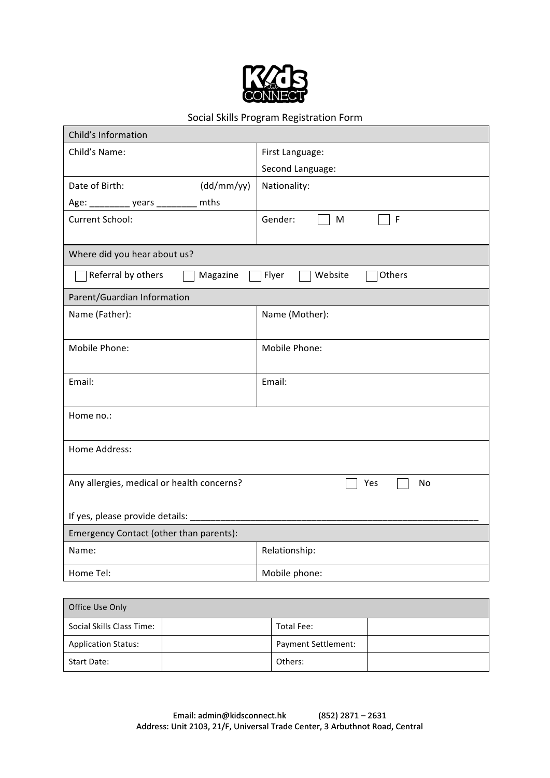

# Social Skills Program Registration Form

| Child's Information                                          |                             |  |  |  |
|--------------------------------------------------------------|-----------------------------|--|--|--|
| Child's Name:                                                | First Language:             |  |  |  |
|                                                              | Second Language:            |  |  |  |
| (dd/mm/yy)<br>Date of Birth:                                 | Nationality:                |  |  |  |
| Age: _____________ years ___________ mths                    |                             |  |  |  |
| Current School:                                              | Gender:<br>$\mathsf F$<br>M |  |  |  |
| Where did you hear about us?                                 |                             |  |  |  |
| Referral by others<br>Magazine<br>Flyer<br>Website<br>Others |                             |  |  |  |
| Parent/Guardian Information                                  |                             |  |  |  |
| Name (Father):                                               | Name (Mother):              |  |  |  |
| Mobile Phone:                                                | Mobile Phone:               |  |  |  |
| Email:                                                       | Email:                      |  |  |  |
| Home no.:                                                    |                             |  |  |  |
| Home Address:                                                |                             |  |  |  |
| Any allergies, medical or health concerns?                   | No<br>Yes                   |  |  |  |
| If yes, please provide details:                              |                             |  |  |  |
| Emergency Contact (other than parents):                      |                             |  |  |  |
| Name:                                                        | Relationship:               |  |  |  |
| Home Tel:                                                    | Mobile phone:               |  |  |  |

| Office Use Only            |  |                     |  |
|----------------------------|--|---------------------|--|
| Social Skills Class Time:  |  | Total Fee:          |  |
| <b>Application Status:</b> |  | Payment Settlement: |  |
| Start Date:                |  | Others:             |  |